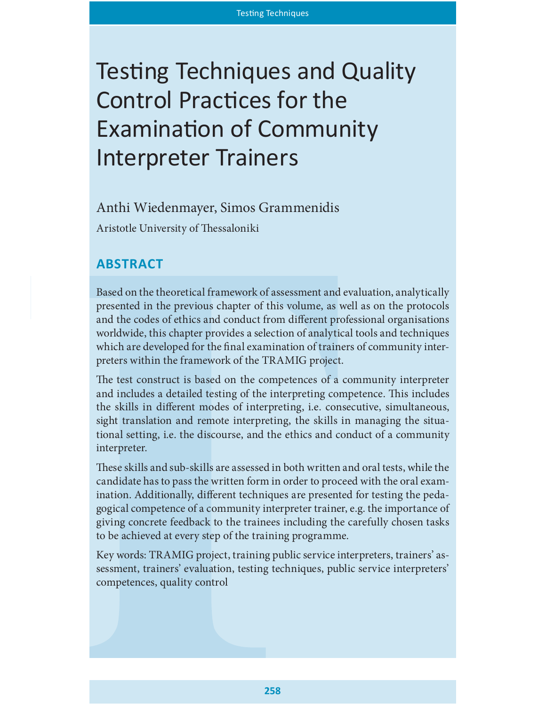# Testing Techniques and Quality Control Practices for the Examination of Community Interpreter Trainers

# Anthi Wiedenmayer, Simos Grammenidis

Aristotle University of Thessaloniki

# **ABSTRACT**

Based on the theoretical framework of assessment and evaluation, analytically presented in the previous chapter of this volume, as well as on the protocols and the codes of ethics and conduct from different professional organisations worldwide, this chapter provides a selection of analytical tools and techniques which are developed for the final examination of trainers of community interpreters within the framework of the TRAMIG project.

The test construct is based on the competences of a community interpreter and includes a detailed testing of the interpreting competence. This includes the skills in different modes of interpreting, i.e. consecutive, simultaneous, sight translation and remote interpreting, the skills in managing the situational setting, i.e. the discourse, and the ethics and conduct of a community interpreter.

These skills and sub-skills are assessed in both written and oral tests, while the candidate has to pass the written form in order to proceed with the oral examination. Additionally, different techniques are presented for testing the pedagogical competence of a community interpreter trainer, e.g. the importance of giving concrete feedback to the trainees including the carefully chosen tasks to be achieved at every step of the training programme.

Key words: TRAMIG project, training public service interpreters, trainers' assessment, trainers' evaluation, testing techniques, public service interpreters' competences, quality control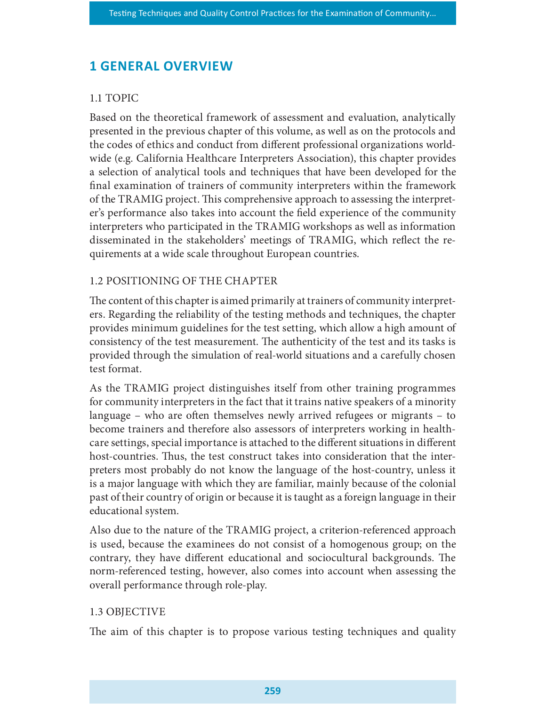# **1 GENERAL OVERVIEW**

# 1.1 TOPIC

Based on the theoretical framework of assessment and evaluation, analytically presented in the previous chapter of this volume, as well as on the protocols and the codes of ethics and conduct from different professional organizations worldwide (e.g. California Healthcare Interpreters Association), this chapter provides a selection of analytical tools and techniques that have been developed for the nal examination of trainers of community interpreters within the framework of the TRAMIG project. This comprehensive approach to assessing the interpreter's performance also takes into account the field experience of the community interpreters who participated in the TRAMIG workshops as well as information disseminated in the stakeholders' meetings of TRAMIG, which reflect the requirements at a wide scale throughout European countries.

# 1.2 POSITIONING OF THE CHAPTER

The content of this chapter is aimed primarily at trainers of community interpreters. Regarding the reliability of the testing methods and techniques, the chapter provides minimum guidelines for the test setting, which allow a high amount of consistency of the test measurement. The authenticity of the test and its tasks is provided through the simulation of real-world situations and a carefully chosen test format.

As the TRAMIG project distinguishes itself from other training programmes for community interpreters in the fact that it trains native speakers of a minority language – who are often themselves newly arrived refugees or migrants – to become trainers and therefore also assessors of interpreters working in healthcare settings, special importance is attached to the different situations in different host-countries. Thus, the test construct takes into consideration that the interpreters most probably do not know the language of the host-country, unless it is a major language with which they are familiar, mainly because of the colonial past of their country of origin or because it is taught as a foreign language in their educational system.

Also due to the nature of the TRAMIG project, a criterion-referenced approach is used, because the examinees do not consist of a homogenous group; on the contrary, they have different educational and sociocultural backgrounds. The norm-referenced testing, however, also comes into account when assessing the overall performance through role-play.

### 1.3 OBJECTIVE

The aim of this chapter is to propose various testing techniques and quality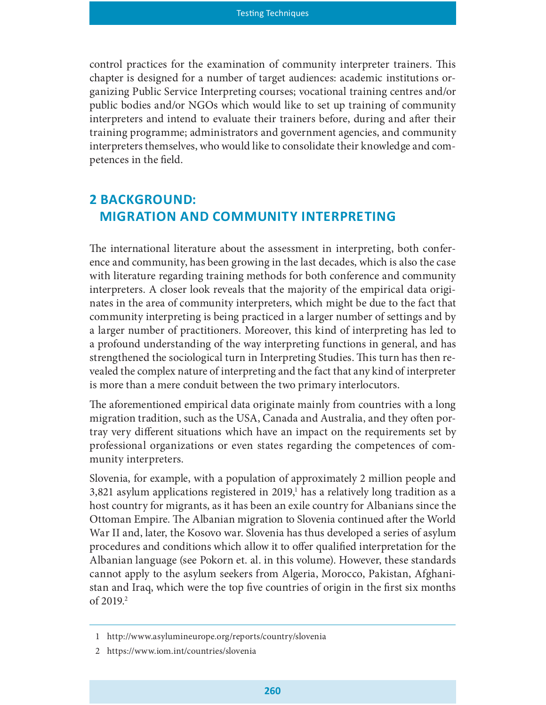control practices for the examination of community interpreter trainers. This chapter is designed for a number of target audiences: academic institutions organizing Public Service Interpreting courses; vocational training centres and/or public bodies and/or NGOs which would like to set up training of community interpreters and intend to evaluate their trainers before, during and after their training programme; administrators and government agencies, and community interpreters themselves, who would like to consolidate their knowledge and competences in the field.

# **2 BACKGROUND:** MIGRATION AND COMMUNITY INTERPRETING

The international literature about the assessment in interpreting, both conference and community, has been growing in the last decades, which is also the case with literature regarding training methods for both conference and community interpreters. A closer look reveals that the majority of the empirical data originates in the area of community interpreters, which might be due to the fact that community interpreting is being practiced in a larger number of settings and by a larger number of practitioners. Moreover, this kind of interpreting has led to a profound understanding of the way interpreting functions in general, and has strengthened the sociological turn in Interpreting Studies. This turn has then revealed the complex nature of interpreting and the fact that any kind of interpreter is more than a mere conduit between the two primary interlocutors.

The aforementioned empirical data originate mainly from countries with a long migration tradition, such as the USA, Canada and Australia, and they often portray very different situations which have an impact on the requirements set by professional organizations or even states regarding the competences of community interpreters.

Slovenia, for example, with a population of approximately 2 million people and 3,821 asylum applications registered in 2019,<sup>1</sup> has a relatively long tradition as a host country for migrants, as it has been an exile country for Albanians since the Ottoman Empire. The Albanian migration to Slovenia continued after the World War II and, later, the Kosovo war. Slovenia has thus developed a series of asylum procedures and conditions which allow it to offer qualified interpretation for the Albanian language (see Pokorn et. al. in this volume). However, these standards cannot apply to the asylum seekers from Algeria, Morocco, Pakistan, Afghanistan and Iraq, which were the top five countries of origin in the first six months of  $2019.<sup>2</sup>$ 

<sup>1</sup> http://www.asylumineurope.org/reports/country/slovenia

<sup>2</sup> https://www.iom.int/countries/slovenia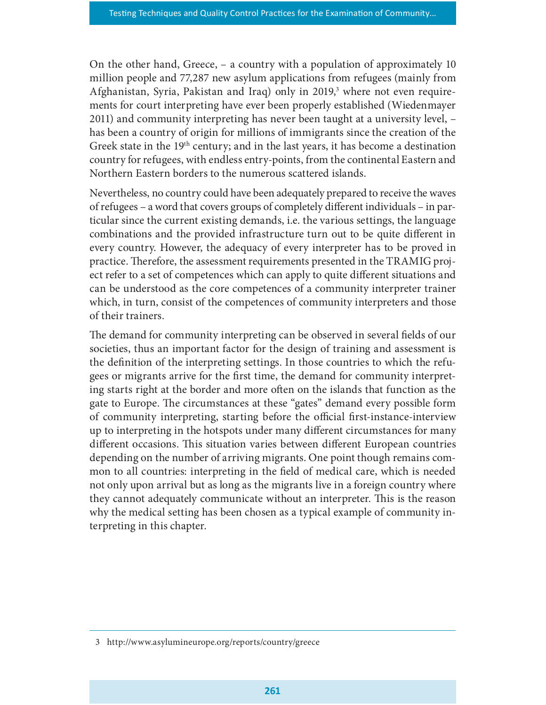On the other hand, Greece, – a country with a population of approximately 10 million people and 77,287 new asylum applications from refugees (mainly from Afghanistan, Syria, Pakistan and Iraq) only in 2019,<sup>3</sup> where not even requirements for court interpreting have ever been properly established (Wiedenmayer 2011) and community interpreting has never been taught at a university level, – has been a country of origin for millions of immigrants since the creation of the Greek state in the  $19<sup>th</sup>$  century; and in the last years, it has become a destination country for refugees, with endless entry-points, from the continental Eastern and Northern Eastern borders to the numerous scattered islands.

Nevertheless, no country could have been adequately prepared to receive the waves of refugees – a word that covers groups of completely different individuals – in particular since the current existing demands, i.e. the various settings, the language combinations and the provided infrastructure turn out to be quite different in every country. However, the adequacy of every interpreter has to be proved in practice. Therefore, the assessment requirements presented in the TRAMIG project refer to a set of competences which can apply to quite different situations and can be understood as the core competences of a community interpreter trainer which, in turn, consist of the competences of community interpreters and those of their trainers.

The demand for community interpreting can be observed in several fields of our societies, thus an important factor for the design of training and assessment is the definition of the interpreting settings. In those countries to which the refugees or migrants arrive for the first time, the demand for community interpreting starts right at the border and more often on the islands that function as the gate to Europe. The circumstances at these "gates" demand every possible form of community interpreting, starting before the official first-instance-interview up to interpreting in the hotspots under many different circumstances for many different occasions. This situation varies between different European countries depending on the number of arriving migrants. One point though remains common to all countries: interpreting in the field of medical care, which is needed not only upon arrival but as long as the migrants live in a foreign country where they cannot adequately communicate without an interpreter. This is the reason why the medical setting has been chosen as a typical example of community interpreting in this chapter.

<sup>3</sup> http://www.asylumineurope.org/reports/country/greece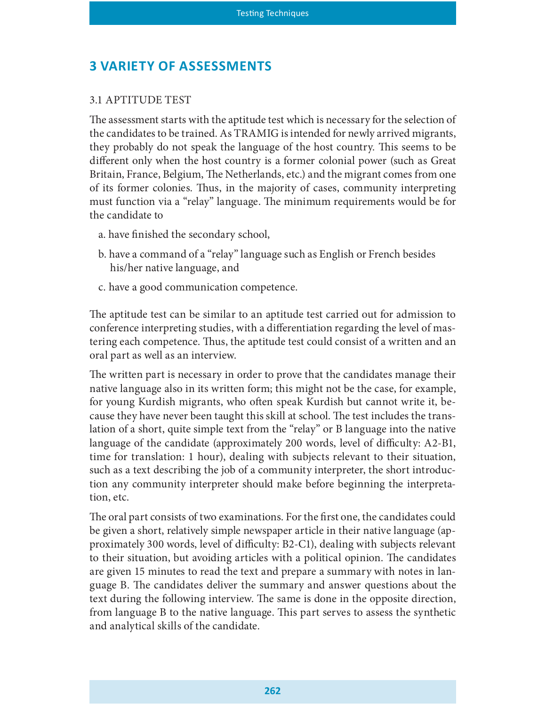# **3 VARIETY OF ASSESSMENTS**

#### 3.1 APTITUDE TEST

The assessment starts with the aptitude test which is necessary for the selection of the candidates to be trained. As TRAMIG is intended for newly arrived migrants, they probably do not speak the language of the host country. This seems to be different only when the host country is a former colonial power (such as Great Britain, France, Belgium, The Netherlands, etc.) and the migrant comes from one of its former colonies. Thus, in the majority of cases, community interpreting must function via a "relay" language. The minimum requirements would be for the candidate to

- a. have finished the secondary school,
- b. have a command of a "relay" language such as English or French besides his/her native language, and
- c. have a good communication competence.

The aptitude test can be similar to an aptitude test carried out for admission to conference interpreting studies, with a differentiation regarding the level of mastering each competence. Thus, the aptitude test could consist of a written and an oral part as well as an interview.

The written part is necessary in order to prove that the candidates manage their native language also in its written form; this might not be the case, for example, for young Kurdish migrants, who often speak Kurdish but cannot write it, because they have never been taught this skill at school. The test includes the translation of a short, quite simple text from the "relay" or B language into the native language of the candidate (approximately 200 words, level of difficulty: A2-B1, time for translation: 1 hour), dealing with subjects relevant to their situation, such as a text describing the job of a community interpreter, the short introduction any community interpreter should make before beginning the interpretation, etc.

The oral part consists of two examinations. For the first one, the candidates could be given a short, relatively simple newspaper article in their native language (approximately 300 words, level of difficulty: B2-C1), dealing with subjects relevant to their situation, but avoiding articles with a political opinion. The candidates are given 15 minutes to read the text and prepare a summary with notes in language B. The candidates deliver the summary and answer questions about the text during the following interview. The same is done in the opposite direction, from language B to the native language. This part serves to assess the synthetic and analytical skills of the candidate.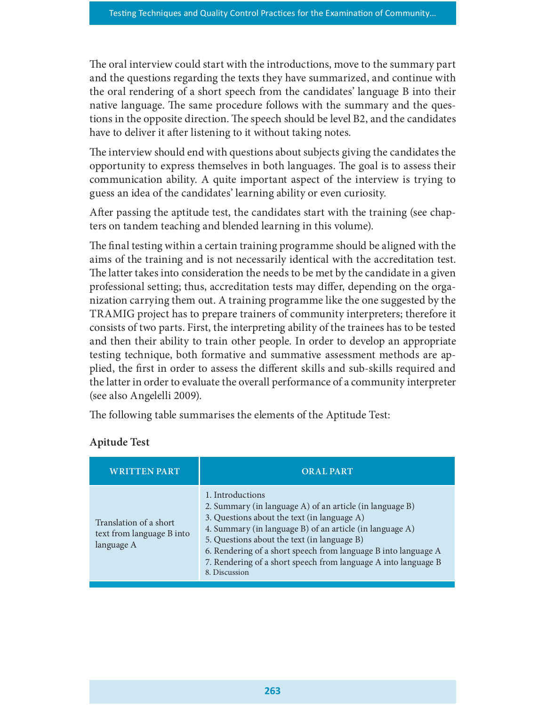The oral interview could start with the introductions, move to the summary part and the questions regarding the texts they have summarized, and continue with the oral rendering of a short speech from the candidates' language B into their native language. The same procedure follows with the summary and the questions in the opposite direction. The speech should be level B2, and the candidates have to deliver it after listening to it without taking notes.

The interview should end with questions about subjects giving the candidates the opportunity to express themselves in both languages. The goal is to assess their communication ability. A quite important aspect of the interview is trying to guess an idea of the candidates' learning ability or even curiosity.

After passing the aptitude test, the candidates start with the training (see chapters on tandem teaching and blended learning in this volume).

The final testing within a certain training programme should be aligned with the aims of the training and is not necessarily identical with the accreditation test. The latter takes into consideration the needs to be met by the candidate in a given professional setting; thus, accreditation tests may differ, depending on the organization carrying them out. A training programme like the one suggested by the TRAMIG project has to prepare trainers of community interpreters; therefore it consists of two parts. First, the interpreting ability of the trainees has to be tested and then their ability to train other people. In order to develop an appropriate testing technique, both formative and summative assessment methods are applied, the first in order to assess the different skills and sub-skills required and the latter in order to evaluate the overall performance of a community interpreter (see also Angelelli 2009).

### Apitude Test

| (see also Angelelli 2009).                                        | pheu, the mst in order to assess the unicrem skins and sub-skins required and<br>the latter in order to evaluate the overall performance of a community interpreter                                                                                                                                                                                                                         |
|-------------------------------------------------------------------|---------------------------------------------------------------------------------------------------------------------------------------------------------------------------------------------------------------------------------------------------------------------------------------------------------------------------------------------------------------------------------------------|
|                                                                   | The following table summarises the elements of the Aptitude Test:                                                                                                                                                                                                                                                                                                                           |
| <b>Apitude Test</b>                                               |                                                                                                                                                                                                                                                                                                                                                                                             |
| <b>WRITTEN PART</b>                                               | <b>ORAL PART</b>                                                                                                                                                                                                                                                                                                                                                                            |
| Translation of a short<br>text from language B into<br>language A | 1. Introductions<br>2. Summary (in language A) of an article (in language B)<br>3. Questions about the text (in language A)<br>4. Summary (in language B) of an article (in language A)<br>5. Questions about the text (in language B)<br>6. Rendering of a short speech from language B into language A<br>7. Rendering of a short speech from language A into language B<br>8. Discussion |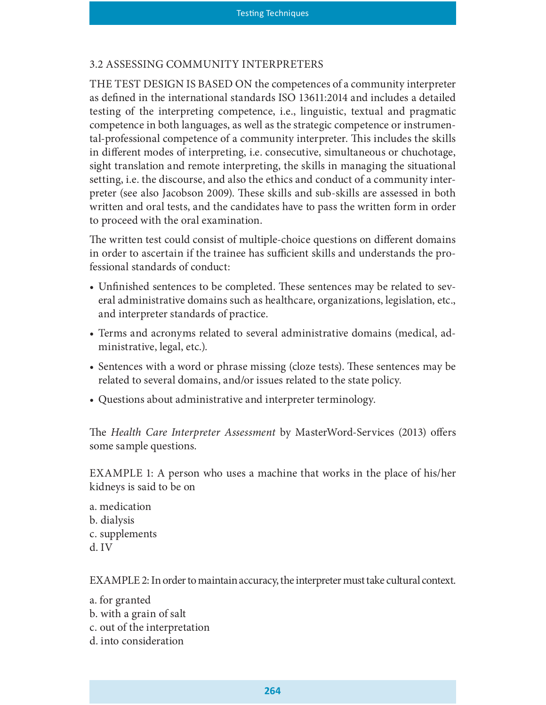#### 3.2 ASSESSING COMMUNITY INTERPRETERS

THE TEST DESIGN IS BASED ON the competences of a community interpreter as defined in the international standards ISO 13611:2014 and includes a detailed testing of the interpreting competence, i.e., linguistic, textual and pragmatic competence in both languages, as well as the strategic competence or instrumental-professional competence of a community interpreter. This includes the skills in different modes of interpreting, *i.e.* consecutive, simultaneous or chuchotage, sight translation and remote interpreting, the skills in managing the situational setting, i.e. the discourse, and also the ethics and conduct of a community interpreter (see also Jacobson 2009). These skills and sub-skills are assessed in both written and oral tests, and the candidates have to pass the written form in order to proceed with the oral examination.

The written test could consist of multiple-choice questions on different domains in order to ascertain if the trainee has sufficient skills and understands the professional standards of conduct:

- Unfinished sentences to be completed. These sentences may be related to several administrative domains such as healthcare, organizations, legislation, etc., and interpreter standards of practice.
- Terms and acronyms related to several administrative domains (medical, administrative, legal, etc.).
- Sentences with a word or phrase missing (cloze tests). These sentences may be related to several domains, and/or issues related to the state policy.
- Questions about administrative and interpreter terminology.

The Health Care Interpreter Assessment by MasterWord-Services (2013) offers some sample questions.

EXAMPLE 1: A person who uses a machine that works in the place of his/her kidneys is said to be on

a. medication b. dialysis c. supplements d. IV

EXAMPLE 2: In order to maintain accuracy, the interpreter must take cultural context.

a. for granted b. with a grain of salt c. out of the interpretation d. into consideration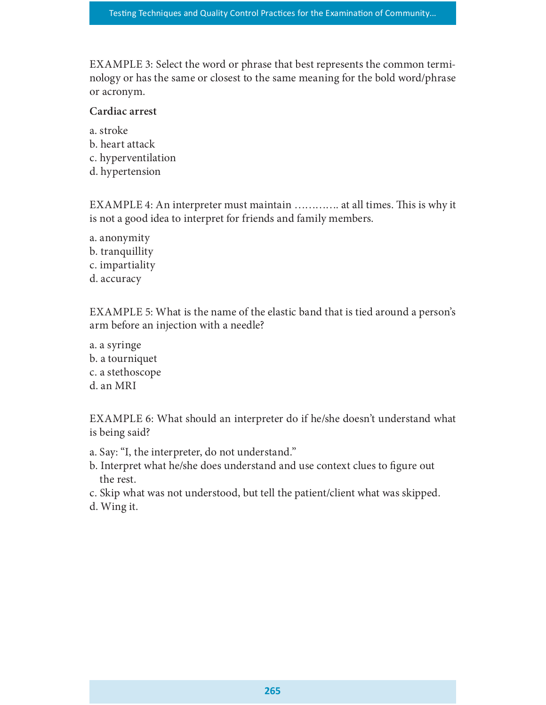EXAMPLE 3: Select the word or phrase that best represents the common terminology or has the same or closest to the same meaning for the bold word/phrase or acronym.

#### Cardiac arrest

a. stroke b. heart attack c. hyperventilation d. hypertension

EXAMPLE 4: An interpreter must maintain ............. at all times. This is why it is not a good idea to interpret for friends and family members.

a. anonymity b. tranquillity c. impartiality d. accuracy

EXAMPLE 5: What is the name of the elastic band that is tied around a person's arm before an injection with a needle?

a. a syringe b. a tourniquet c. a stethoscope d. an MRI

EXAMPLE 6: What should an interpreter do if he/she doesn't understand what is being said?

- a. Say: "I, the interpreter, do not understand."
- b. Interpret what he/she does understand and use context clues to figure out the rest.
- c. Skip what was not understood, but tell the patient/client what was skipped.
- d. Wing it.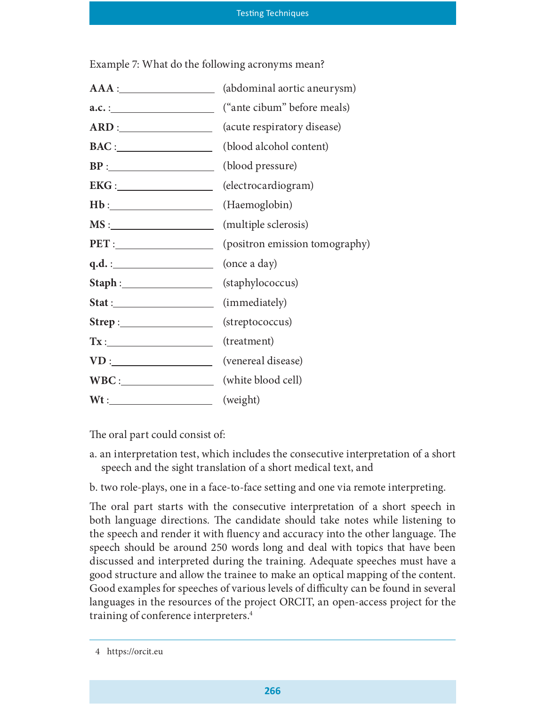Example 7: What do the following acronyms mean?

| AAA:                    | (abdominal aortic aneurysm) |
|-------------------------|-----------------------------|
|                         | ("ante cibum" before meals) |
| ARD:                    | (acute respiratory disease) |
| $\text{BAC}:$           | (blood alcohol content)     |
|                         | (blood pressure)            |
| EKG:                    | (electrocardiogram)         |
|                         | (Haemoglobin)               |
|                         |                             |
|                         |                             |
|                         |                             |
| Staph: (staphylococcus) |                             |
| Stat:                   | (immediately)               |
|                         | (streptococcus)             |
|                         | (treatment)                 |
|                         |                             |
| WBC: (white blood cell) |                             |
| $Wt:$ (weight)          |                             |

The oral part could consist of:

- a. an interpretation test, which includes the consecutive interpretation of a short speech and the sight translation of a short medical text, and
- b. two role-plays, one in a face-to-face setting and one via remote interpreting.

The oral part starts with the consecutive interpretation of a short speech in both language directions. The candidate should take notes while listening to the speech and render it with fluency and accuracy into the other language. The speech should be around 250 words long and deal with topics that have been discussed and interpreted during the training. Adequate speeches must have a good structure and allow the trainee to make an optical mapping of the content. Good examples for speeches of various levels of difficulty can be found in several languages in the resources of the project ORCIT, an open-access project for the training of conference interpreters.4

<sup>4</sup> https://orcit.eu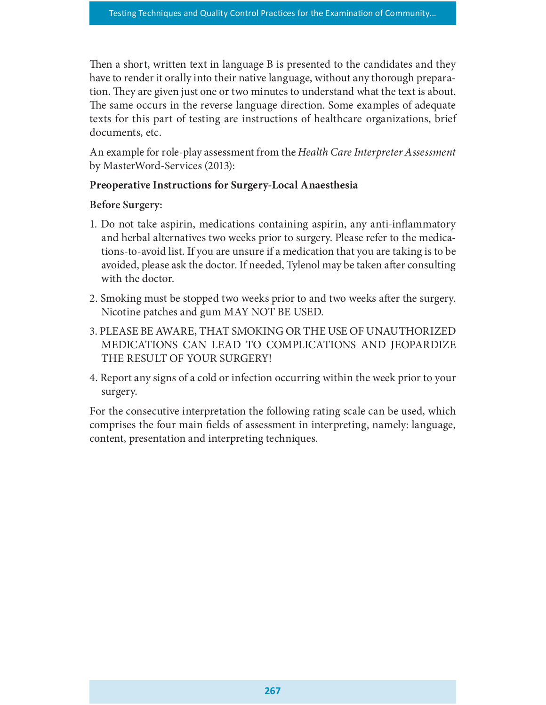Then a short, written text in language B is presented to the candidates and they have to render it orally into their native language, without any thorough preparation. They are given just one or two minutes to understand what the text is about. The same occurs in the reverse language direction. Some examples of adequate texts for this part of testing are instructions of healthcare organizations, brief documents, etc.

An example for role-play assessment from the Health Care Interpreter Assessment by MasterWord-Services (2013):

# Preoperative Instructions for Surgery-Local Anaesthesia

# Before Surgery:

- 1. Do not take aspirin, medications containing aspirin, any anti-inflammatory and herbal alternatives two weeks prior to surgery. Please refer to the medications-to-avoid list. If you are unsure if a medication that you are taking is to be avoided, please ask the doctor. If needed, Tylenol may be taken after consulting with the doctor.
- 2. Smoking must be stopped two weeks prior to and two weeks after the surgery. Nicotine patches and gum MAY NOT BE USED.
- 3. PLEASE BE AWARE, THAT SMOKING OR THE USE OF UNAUTHORIZED MEDICATIONS CAN LEAD TO COMPLICATIONS AND JEOPARDIZE THE RESULT OF YOUR SURGERY!
- 4. Report any signs of a cold or infection occurring within the week prior to your surgery.

For the consecutive interpretation the following rating scale can be used, which comprises the four main fields of assessment in interpreting, namely: language, content, presentation and interpreting techniques.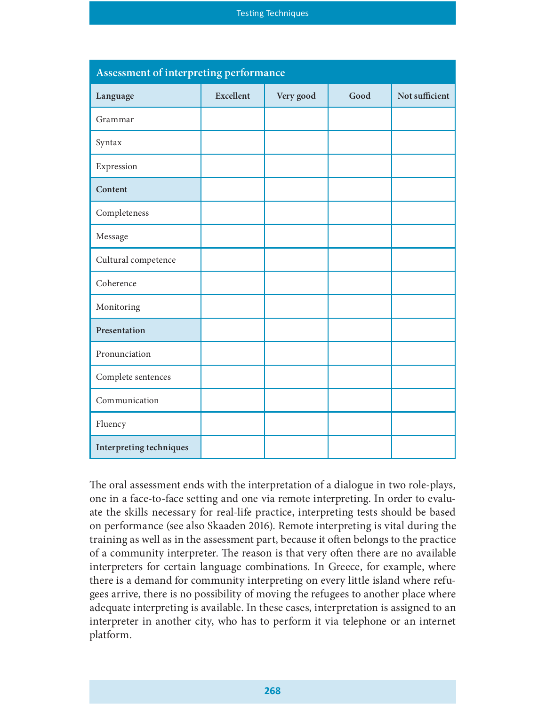|                                        |                  | <b>Testing Techniques</b> |      |                |
|----------------------------------------|------------------|---------------------------|------|----------------|
|                                        |                  |                           |      |                |
| Assessment of interpreting performance |                  |                           |      |                |
| Language                               | <b>Excellent</b> | Very good                 | Good | Not sufficient |
| Grammar                                |                  |                           |      |                |
| Syntax                                 |                  |                           |      |                |
| Expression                             |                  |                           |      |                |
| Content                                |                  |                           |      |                |
| Completeness                           |                  |                           |      |                |
| Message                                |                  |                           |      |                |
| Cultural competence                    |                  |                           |      |                |
| Coherence                              |                  |                           |      |                |
| Monitoring                             |                  |                           |      |                |
| Presentation                           |                  |                           |      |                |
| Pronunciation                          |                  |                           |      |                |
| Complete sentences                     |                  |                           |      |                |
| Communication                          |                  |                           |      |                |
| Fluency                                |                  |                           |      |                |
| Interpreting techniques                |                  |                           |      |                |

The oral assessment ends with the interpretation of a dialogue in two role-plays, one in a face-to-face setting and one via remote interpreting. In order to evaluate the skills necessary for real-life practice, interpreting tests should be based on performance (see also Skaaden 2016). Remote interpreting is vital during the training as well as in the assessment part, because it often belongs to the practice of a community interpreter. The reason is that very often there are no available interpreters for certain language combinations. In Greece, for example, where there is a demand for community interpreting on every little island where refugees arrive, there is no possibility of moving the refugees to another place where adequate interpreting is available. In these cases, interpretation is assigned to an interpreter in another city, who has to perform it via telephone or an internet platform.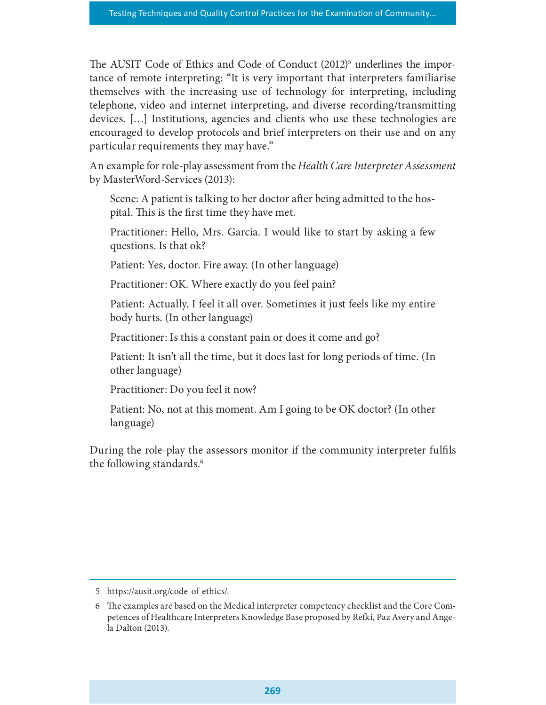The AUSIT Code of Ethics and Code of Conduct (2012)<sup>5</sup> underlines the importance of remote interpreting: "It is very important that interpreters familiarise themselves with the increasing use of technology for interpreting, including telephone, video and internet interpreting, and diverse recording/transmitting devices. […] Institutions, agencies and clients who use these technologies are encouraged to develop protocols and brief interpreters on their use and on any particular requirements they may have."

An example for role-play assessment from the Health Care Interpreter Assessment by MasterWord-Services (2013):

Scene: A patient is talking to her doctor after being admitted to the hospital. This is the first time they have met.

Practitioner: Hello, Mrs. Garcia. I would like to start by asking a few questions. Is that ok?

Patient: Yes, doctor. Fire away. (In other language)

Practitioner: OK. Where exactly do you feel pain?

Patient: Actually, I feel it all over. Sometimes it just feels like my entire body hurts. (In other language)

Practitioner: Is this a constant pain or does it come and go?

Patient: It isn't all the time, but it does last for long periods of time. (In other language)

Practitioner: Do you feel it now?

Patient: No, not at this moment. Am I going to be OK doctor? (In other language)

During the role-play the assessors monitor if the community interpreter fulfils the following standards.<sup>6</sup>

<sup>5</sup> https://ausit.org/code-of-ethics/.

<sup>6</sup> The examples are based on the Medical interpreter competency checklist and the Core Competences of Healthcare Interpreters Knowledge Base proposed by Refki, Paz Avery and Angela Dalton (2013).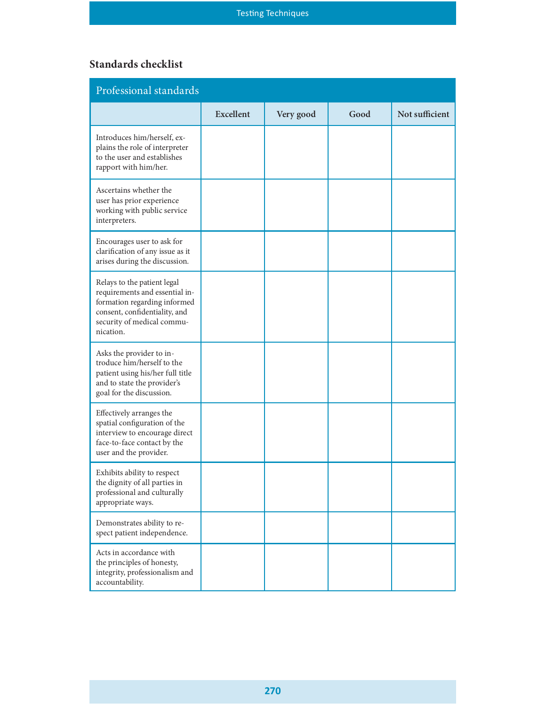# Standards checklist

|                                                                                                                                                                           | Testing Techniques |           |      |                |
|---------------------------------------------------------------------------------------------------------------------------------------------------------------------------|--------------------|-----------|------|----------------|
| <b>Standards checklist</b>                                                                                                                                                |                    |           |      |                |
| Professional standards                                                                                                                                                    |                    |           |      |                |
|                                                                                                                                                                           | <b>Excellent</b>   | Very good | Good | Not sufficient |
| Introduces him/herself, ex-<br>plains the role of interpreter<br>to the user and establishes<br>rapport with him/her.                                                     |                    |           |      |                |
| Ascertains whether the<br>user has prior experience<br>working with public service<br>interpreters.                                                                       |                    |           |      |                |
| Encourages user to ask for<br>clarification of any issue as it<br>arises during the discussion.                                                                           |                    |           |      |                |
| Relays to the patient legal<br>requirements and essential in-<br>formation regarding informed<br>consent, confidentiality, and<br>security of medical commu-<br>nication. |                    |           |      |                |
| Asks the provider to in-<br>troduce him/herself to the<br>patient using his/her full title<br>and to state the provider's<br>goal for the discussion.                     |                    |           |      |                |
| Effectively arranges the<br>spatial configuration of the<br>interview to encourage direct<br>face-to-face contact by the<br>user and the provider.                        |                    |           |      |                |
| Exhibits ability to respect<br>the dignity of all parties in<br>professional and culturally<br>appropriate ways.                                                          |                    |           |      |                |
| Demonstrates ability to re-<br>spect patient independence.                                                                                                                |                    |           |      |                |
| Acts in accordance with<br>the principles of honesty,<br>integrity, professionalism and<br>accountability.                                                                |                    |           |      |                |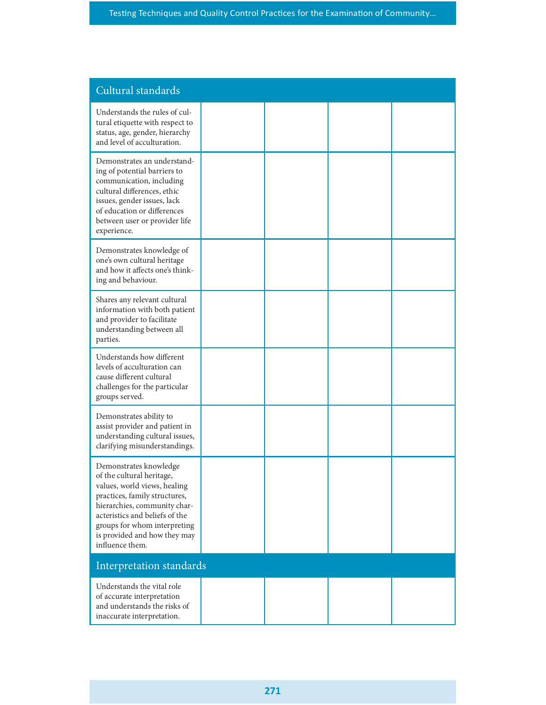| Cultural standards                                                                                                                                                                                                                                                        |  |  |
|---------------------------------------------------------------------------------------------------------------------------------------------------------------------------------------------------------------------------------------------------------------------------|--|--|
| Understands the rules of cul-<br>tural etiquette with respect to<br>status, age, gender, hierarchy<br>and level of acculturation.                                                                                                                                         |  |  |
| Demonstrates an understand-<br>ing of potential barriers to<br>communication, including<br>cultural differences, ethic<br>issues, gender issues, lack<br>of education or differences<br>between user or provider life<br>experience.                                      |  |  |
| Demonstrates knowledge of<br>one's own cultural heritage<br>and how it affects one's think-<br>ing and behaviour.                                                                                                                                                         |  |  |
| Shares any relevant cultural<br>information with both patient<br>and provider to facilitate<br>understanding between all<br>parties.                                                                                                                                      |  |  |
| Understands how different<br>levels of acculturation can<br>cause different cultural<br>challenges for the particular<br>groups served.                                                                                                                                   |  |  |
| Demonstrates ability to<br>assist provider and patient in<br>understanding cultural issues,<br>clarifying misunderstandings.                                                                                                                                              |  |  |
| Demonstrates knowledge<br>of the cultural heritage,<br>values, world views, healing<br>practices, family structures,<br>hierarchies, community char-<br>acteristics and beliefs of the<br>groups for whom interpreting<br>is provided and how they may<br>influence them. |  |  |
| Interpretation standards                                                                                                                                                                                                                                                  |  |  |
| Understands the vital role<br>of accurate interpretation<br>and understands the risks of<br>inaccurate interpretation.                                                                                                                                                    |  |  |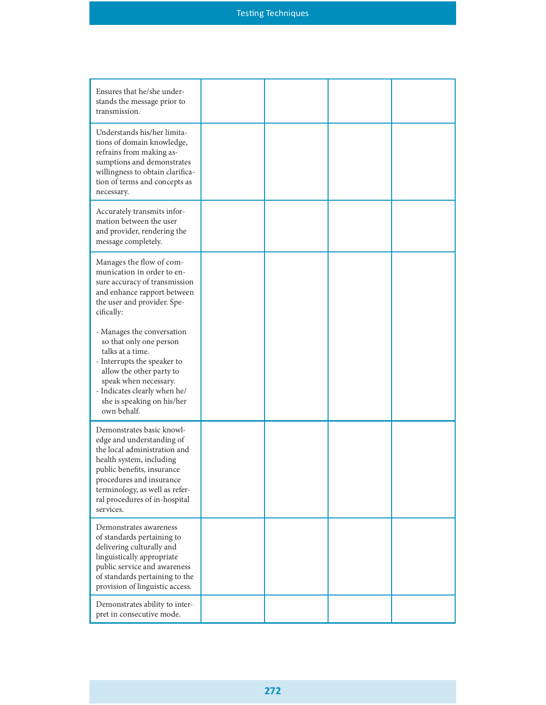| Ensures that he/she under-<br>stands the message prior to<br>transmission.                                                                                                                                                                                   |  |  |
|--------------------------------------------------------------------------------------------------------------------------------------------------------------------------------------------------------------------------------------------------------------|--|--|
| Understands his/her limita-<br>tions of domain knowledge,<br>refrains from making as-<br>sumptions and demonstrates<br>willingness to obtain clarifica-<br>tion of terms and concepts as<br>necessary.                                                       |  |  |
| Accurately transmits infor-<br>mation between the user<br>and provider, rendering the<br>message completely.                                                                                                                                                 |  |  |
| Manages the flow of com-<br>munication in order to en-<br>sure accuracy of transmission<br>and enhance rapport between<br>the user and provider. Spe-<br>cifically:                                                                                          |  |  |
| - Manages the conversation<br>so that only one person<br>talks at a time.<br>- Interrupts the speaker to<br>allow the other party to<br>speak when necessary.<br>- Indicates clearly when he/<br>she is speaking on his/her<br>own behalf.                   |  |  |
| Demonstrates basic knowl-<br>edge and understanding of<br>the local administration and<br>health system, including<br>public benefits, insurance<br>procedures and insurance<br>terminology, as well as refer-<br>ral procedures of in-hospital<br>services. |  |  |
| Demonstrates awareness<br>of standards pertaining to<br>delivering culturally and<br>linguistically appropriate<br>public service and awareness<br>of standards pertaining to the<br>provision of linguistic access.                                         |  |  |
| Demonstrates ability to inter-<br>pret in consecutive mode.                                                                                                                                                                                                  |  |  |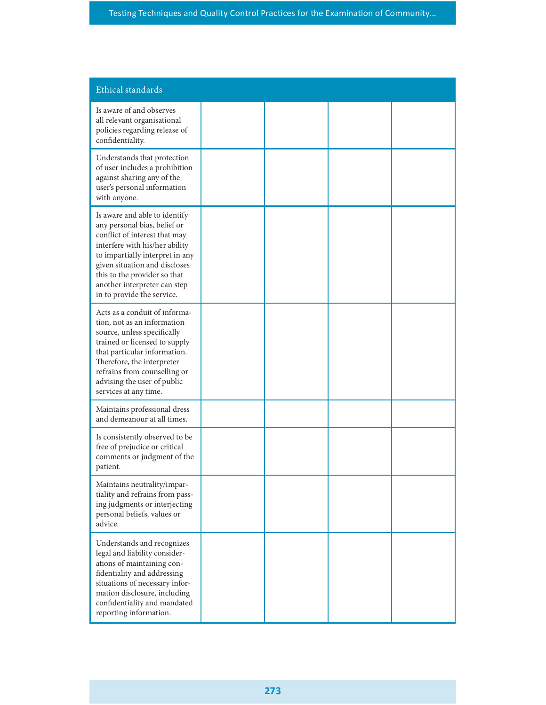| Ethical standards                                                                                                                                                                                                                                                                                  |  |  |
|----------------------------------------------------------------------------------------------------------------------------------------------------------------------------------------------------------------------------------------------------------------------------------------------------|--|--|
| Is aware of and observes<br>all relevant organisational<br>policies regarding release of<br>confidentiality.                                                                                                                                                                                       |  |  |
| Understands that protection<br>of user includes a prohibition<br>against sharing any of the<br>user's personal information<br>with anyone.                                                                                                                                                         |  |  |
| Is aware and able to identify<br>any personal bias, belief or<br>conflict of interest that may<br>interfere with his/her ability<br>to impartially interpret in any<br>given situation and discloses<br>this to the provider so that<br>another interpreter can step<br>in to provide the service. |  |  |
| Acts as a conduit of informa-<br>tion, not as an information<br>source, unless specifically<br>trained or licensed to supply<br>that particular information.<br>Therefore, the interpreter<br>refrains from counselling or<br>advising the user of public<br>services at any time.                 |  |  |
| Maintains professional dress<br>and demeanour at all times.                                                                                                                                                                                                                                        |  |  |
| Is consistently observed to be<br>free of prejudice or critical<br>comments or judgment of the<br>patient.                                                                                                                                                                                         |  |  |
| Maintains neutrality/impar-<br>tiality and refrains from pass-<br>ing judgments or interjecting<br>personal beliefs, values or<br>advice.                                                                                                                                                          |  |  |
| Understands and recognizes<br>legal and liability consider-<br>ations of maintaining con-<br>fidentiality and addressing<br>situations of necessary infor-<br>mation disclosure, including<br>confidentiality and mandated<br>reporting information.                                               |  |  |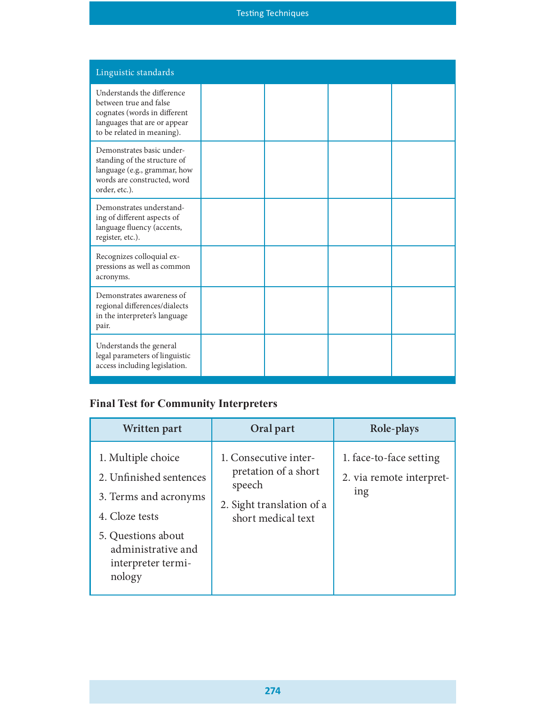# Testing Techniques

| Linguistic standards                                                                                                                               |                                                                  |                         |
|----------------------------------------------------------------------------------------------------------------------------------------------------|------------------------------------------------------------------|-------------------------|
| Understands the difference<br>between true and false<br>cognates (words in different<br>languages that are or appear<br>to be related in meaning). |                                                                  |                         |
| Demonstrates basic under-<br>standing of the structure of<br>language (e.g., grammar, how<br>words are constructed, word<br>order, etc.).          |                                                                  |                         |
| Demonstrates understand-<br>ing of different aspects of<br>language fluency (accents,<br>register, etc.).                                          |                                                                  |                         |
| Recognizes colloquial ex-<br>pressions as well as common<br>acronyms.                                                                              |                                                                  |                         |
| Demonstrates awareness of<br>regional differences/dialects<br>in the interpreter's language<br>pair.                                               |                                                                  |                         |
| Understands the general<br>legal parameters of linguistic<br>access including legislation.                                                         |                                                                  |                         |
| <b>Final Test for Community Interpreters</b>                                                                                                       |                                                                  |                         |
| Written part                                                                                                                                       | Oral part                                                        | Role-plays              |
| 1. Multiple choice                                                                                                                                 | 1. Consecutive inter-<br>$\cdot$ $\cdot$ $\cdot$ $\cdot$ $\cdot$ | 1. face-to-face setting |

# Final Test for Community Interpreters

| Written part                                                                                                                                                         | Oral part                                                                                                  | Role-plays                                                 |
|----------------------------------------------------------------------------------------------------------------------------------------------------------------------|------------------------------------------------------------------------------------------------------------|------------------------------------------------------------|
| 1. Multiple choice<br>2. Unfinished sentences<br>3. Terms and acronyms<br>4. Cloze tests<br>5. Questions about<br>administrative and<br>interpreter termi-<br>nology | 1. Consecutive inter-<br>pretation of a short<br>speech<br>2. Sight translation of a<br>short medical text | 1. face-to-face setting<br>2. via remote interpret-<br>ing |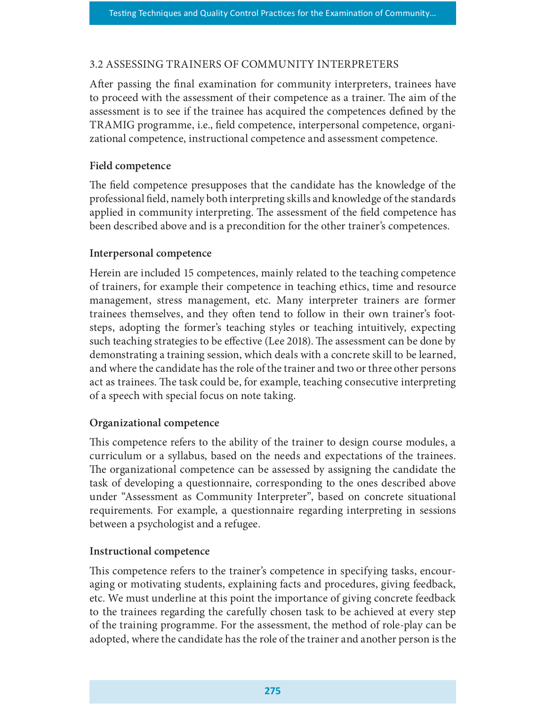### 3.2 ASSESSING TRAINERS OF COMMUNITY INTERPRETERS

After passing the final examination for community interpreters, trainees have to proceed with the assessment of their competence as a trainer. The aim of the assessment is to see if the trainee has acquired the competences defined by the TRAMIG programme, i.e., field competence, interpersonal competence, organizational competence, instructional competence and assessment competence.

## Field competence

The field competence presupposes that the candidate has the knowledge of the professional field, namely both interpreting skills and knowledge of the standards applied in community interpreting. The assessment of the field competence has been described above and is a precondition for the other trainer's competences.

### Interpersonal competence

Herein are included 15 competences, mainly related to the teaching competence of trainers, for example their competence in teaching ethics, time and resource management, stress management, etc. Many interpreter trainers are former trainees themselves, and they often tend to follow in their own trainer's footsteps, adopting the former's teaching styles or teaching intuitively, expecting such teaching strategies to be effective (Lee 2018). The assessment can be done by demonstrating a training session, which deals with a concrete skill to be learned, and where the candidate has the role of the trainer and two or three other persons act as trainees. The task could be, for example, teaching consecutive interpreting of a speech with special focus on note taking.

### Organizational competence

This competence refers to the ability of the trainer to design course modules, a curriculum or a syllabus, based on the needs and expectations of the trainees. The organizational competence can be assessed by assigning the candidate the task of developing a questionnaire, corresponding to the ones described above under "Assessment as Community Interpreter", based on concrete situational requirements. For example, a questionnaire regarding interpreting in sessions between a psychologist and a refugee.

### Instructional competence

This competence refers to the trainer's competence in specifying tasks, encouraging or motivating students, explaining facts and procedures, giving feedback, etc. We must underline at this point the importance of giving concrete feedback to the trainees regarding the carefully chosen task to be achieved at every step of the training programme. For the assessment, the method of role-play can be adopted, where the candidate has the role of the trainer and another person is the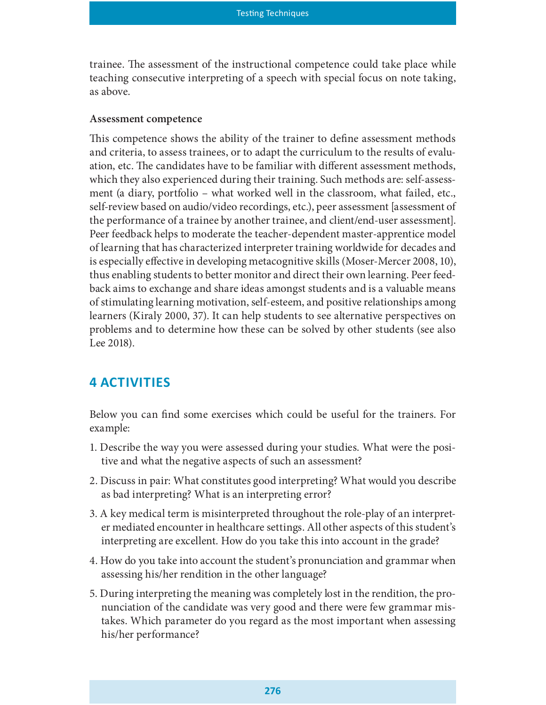trainee. The assessment of the instructional competence could take place while teaching consecutive interpreting of a speech with special focus on note taking, as above.

#### Assessment competence

This competence shows the ability of the trainer to define assessment methods and criteria, to assess trainees, or to adapt the curriculum to the results of evaluation, etc. The candidates have to be familiar with different assessment methods, which they also experienced during their training. Such methods are: self-assessment (a diary, portfolio – what worked well in the classroom, what failed, etc., self-review based on audio/video recordings, etc.), peer assessment [assessment of the performance of a trainee by another trainee, and client/end-user assessment]. Peer feedback helps to moderate the teacher-dependent master-apprentice model of learning that has characterized interpreter training worldwide for decades and is especially effective in developing metacognitive skills (Moser-Mercer 2008, 10), thus enabling students to better monitor and direct their own learning. Peer feedback aims to exchange and share ideas amongst students and is a valuable means of stimulating learning motivation, self-esteem, and positive relationships among learners (Kiraly 2000, 37). It can help students to see alternative perspectives on problems and to determine how these can be solved by other students (see also Lee 2018).

# **4 ACTIVITIES**

Below you can find some exercises which could be useful for the trainers. For example:

- 1. Describe the way you were assessed during your studies. What were the positive and what the negative aspects of such an assessment?
- 2. Discuss in pair: What constitutes good interpreting? What would you describe as bad interpreting? What is an interpreting error?
- 3. A key medical term is misinterpreted throughout the role-play of an interpreter mediated encounter in healthcare settings. All other aspects of this student's interpreting are excellent. How do you take this into account in the grade?
- 4. How do you take into account the student's pronunciation and grammar when assessing his/her rendition in the other language?
- 5. During interpreting the meaning was completely lost in the rendition, the pronunciation of the candidate was very good and there were few grammar mistakes. Which parameter do you regard as the most important when assessing his/her performance?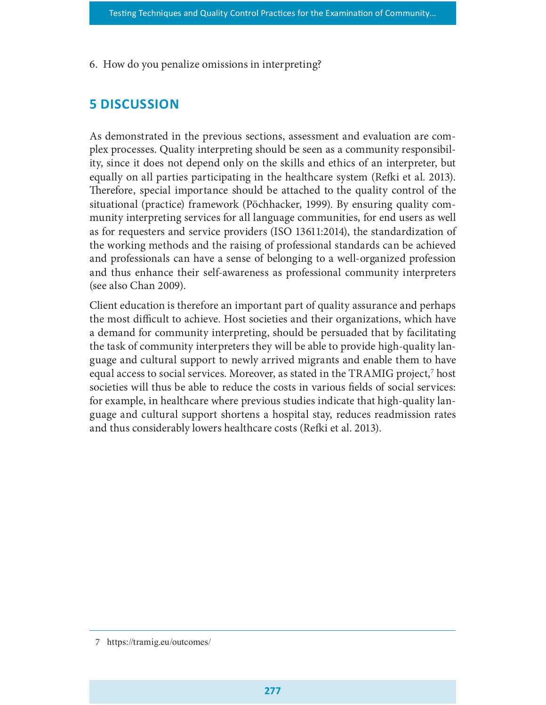6. How do you penalize omissions in interpreting?

# 5 DISCUSSION

As demonstrated in the previous sections, assessment and evaluation are complex processes. Quality interpreting should be seen as a community responsibility, since it does not depend only on the skills and ethics of an interpreter, but equally on all parties participating in the healthcare system (Refki et al. 2013). Therefore, special importance should be attached to the quality control of the situational (practice) framework (Pöchhacker, 1999). By ensuring quality community interpreting services for all language communities, for end users as well as for requesters and service providers (ISO 13611:2014), the standardization of the working methods and the raising of professional standards can be achieved and professionals can have a sense of belonging to a well-organized profession and thus enhance their self-awareness as professional community interpreters (see also Chan 2009).

Client education is therefore an important part of quality assurance and perhaps the most difficult to achieve. Host societies and their organizations, which have a demand for community interpreting, should be persuaded that by facilitating the task of community interpreters they will be able to provide high-quality language and cultural support to newly arrived migrants and enable them to have equal access to social services. Moreover, as stated in the TRAMIG project,<sup>7</sup> host societies will thus be able to reduce the costs in various fields of social services: for example, in healthcare where previous studies indicate that high-quality language and cultural support shortens a hospital stay, reduces readmission rates and thus considerably lowers healthcare costs (Refki et al. 2013).

<sup>7</sup> https://tramig.eu/outcomes/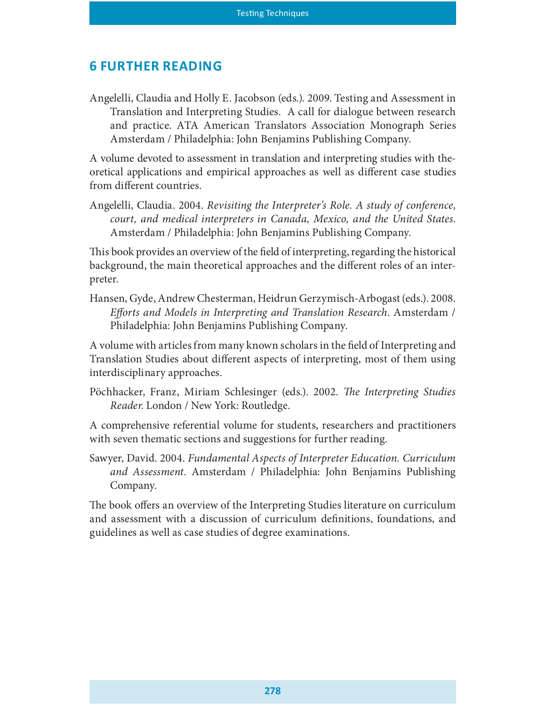# **6 FURTHER READING**

Angelelli, Claudia and Holly E. Jacobson (eds.). 2009. Testing and Assessment in Translation and Interpreting Studies. A call for dialogue between research and practice. ATA American Translators Association Monograph Series Amsterdam / Philadelphia: John Benjamins Publishing Company.

A volume devoted to assessment in translation and interpreting studies with theoretical applications and empirical approaches as well as different case studies from different countries.

Angelelli, Claudia. 2004. Revisiting the Interpreter's Role. A study of conference, court, and medical interpreters in Canada, Mexico, and the United States. Amsterdam / Philadelphia: John Benjamins Publishing Company.

This book provides an overview of the field of interpreting, regarding the historical background, the main theoretical approaches and the different roles of an interpreter.

Hansen, Gyde, Andrew Chesterman, Heidrun Gerzymisch-Arbogast (eds.). 2008. Efforts and Models in Interpreting and Translation Research. Amsterdam / Philadelphia: John Benjamins Publishing Company.

A volume with articles from many known scholars in the field of Interpreting and Translation Studies about different aspects of interpreting, most of them using interdisciplinary approaches.

Pöchhacker, Franz, Miriam Schlesinger (eds.). 2002. The Interpreting Studies Reader. London / New York: Routledge.

A comprehensive referential volume for students, researchers and practitioners with seven thematic sections and suggestions for further reading.

Sawyer, David. 2004. Fundamental Aspects of Interpreter Education. Curriculum and Assessment. Amsterdam / Philadelphia: John Benjamins Publishing Company.

The book offers an overview of the Interpreting Studies literature on curriculum and assessment with a discussion of curriculum definitions, foundations, and guidelines as well as case studies of degree examinations.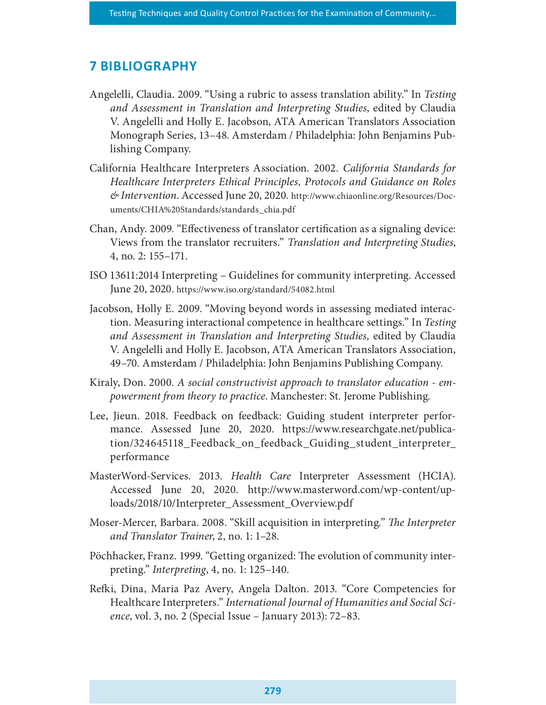# **7 BIBLIOGRAPHY**

- Angelelli, Claudia. 2009. "Using a rubric to assess translation ability." In Testing and Assessment in Translation and Interpreting Studies, edited by Claudia V. Angelelli and Holly E. Jacobson, ATA American Translators Association Monograph Series, 13–48. Amsterdam / Philadelphia: John Benjamins Publishing Company.
- California Healthcare Interpreters Association. 2002. California Standards for Healthcare Interpreters Ethical Principles, Protocols and Guidance on Roles & Intervention. Accessed June 20, 2020. http://www.chiaonline.org/Resources/Documents/CHIA%20Standards/standards\_chia.pdf
- Chan, Andy. 2009. "Effectiveness of translator certification as a signaling device: Views from the translator recruiters." Translation and Interpreting Studies, 4, no. 2: 155–171.
- ISO 13611:2014 Interpreting Guidelines for community interpreting. Accessed June 20, 2020. https://www.iso.org/standard/54082.html
- Jacobson, Holly E. 2009. "Moving beyond words in assessing mediated interaction. Measuring interactional competence in healthcare settings." In Testing and Assessment in Translation and Interpreting Studies, edited by Claudia V. Angelelli and Holly E. Jacobson, ATA American Translators Association, 49–70. Amsterdam / Philadelphia: John Benjamins Publishing Company.
- Kiraly, Don. 2000. A social constructivist approach to translator education empowerment from theory to practice. Manchester: St. Jerome Publishing.
- Lee, Jieun. 2018. Feedback on feedback: Guiding student interpreter performance. Assessed June 20, 2020. https://www.researchgate.net/publication/324645118\_Feedback\_on\_feedback\_Guiding\_student\_interpreter\_ performance
- MasterWord-Services. 2013. Health Care Interpreter Assessment (HCIA). Accessed June 20, 2020. http://www.masterword.com/wp-content/uploads/2018/10/Interpreter\_Assessment\_Overview.pdf
- Moser-Mercer, Barbara. 2008. "Skill acquisition in interpreting." The Interpreter and Translator Trainer, 2, no. 1: 1–28.
- Pöchhacker, Franz. 1999. "Getting organized: The evolution of community interpreting." Interpreting, 4, no. 1: 125–140.
- Re£i, Dina, Maria Paz Avery, Angela Dalton. 2013. "Core Competencies for Healthcare Interpreters." International Journal of Humanities and Social Science, vol. 3, no. 2 (Special Issue – January 2013): 72–83.